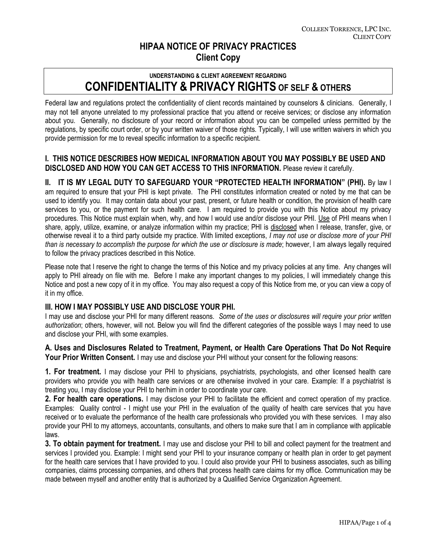# **HIPAA NOTICE OF PRIVACY PRACTICES Client Copy**

## **UNDERSTANDING & CLIENT AGREEMENT REGARDING CONFIDENTIALITY & PRIVACY RIGHTS OF SELF & OTHERS**

Federal law and regulations protect the confidentiality of client records maintained by counselors & clinicians. Generally, I may not tell anyone unrelated to my professional practice that you attend or receive services; or disclose any information about you. Generally, no disclosure of your record or information about you can be compelled unless permitted by the regulations, by specific court order, or by your written waiver of those rights. Typically, I will use written waivers in which you provide permission for me to reveal specific information to a specific recipient.

## **I. THIS NOTICE DESCRIBES HOW MEDICAL INFORMATION ABOUT YOU MAY POSSIBLY BE USED AND DISCLOSED AND HOW YOU CAN GET ACCESS TO THIS INFORMATION.** Please review it carefully.

**II. IT IS MY LEGAL DUTY TO SAFEGUARD YOUR "PROTECTED HEALTH INFORMATION" (PHI).** By law I am required to ensure that your PHI is kept private. The PHI constitutes information created or noted by me that can be used to identify you. It may contain data about your past, present, or future health or condition, the provision of health care services to you, or the payment for such health care. I am required to provide you with this Notice about my privacy procedures. This Notice must explain when, why, and how I would use and/or disclose your PHI. Use of PHI means when I share, apply, utilize, examine, or analyze information within my practice; PHI is disclosed when I release, transfer, give, or otherwise reveal it to a third party outside my practice. With limited exceptions, *I may not use or disclose more of your PHI than is necessary to accomplish the purpose for which the use or disclosure is made*; however, I am always legally required to follow the privacy practices described in this Notice.

Please note that I reserve the right to change the terms of this Notice and my privacy policies at any time. Any changes will apply to PHI already on file with me. Before I make any important changes to my policies, I will immediately change this Notice and post a new copy of it in my office. You may also request a copy of this Notice from me, or you can view a copy of it in my office.

#### **III. HOW I MAY POSSIBLY USE AND DISCLOSE YOUR PHI.**

I may use and disclose your PHI for many different reasons. *Some of the uses or disclosures will require your prior written authorization*; others, however, will not. Below you will find the different categories of the possible ways I may need to use and disclose your PHI, with some examples.

**A. Uses and Disclosures Related to Treatment, Payment, or Health Care Operations That Do Not Require Your Prior Written Consent.** I may use and disclose your PHI without your consent for the following reasons:

**1. For treatment.** I may disclose your PHI to physicians, psychiatrists, psychologists, and other licensed health care providers who provide you with health care services or are otherwise involved in your care. Example: If a psychiatrist is treating you, I may disclose your PHI to her/him in order to coordinate your care.

**2. For health care operations.** I may disclose your PHI to facilitate the efficient and correct operation of my practice. Examples: Quality control - I might use your PHI in the evaluation of the quality of health care services that you have received or to evaluate the performance of the health care professionals who provided you with these services. I may also provide your PHI to my attorneys, accountants, consultants, and others to make sure that I am in compliance with applicable laws.

**3. To obtain payment for treatment.** I may use and disclose your PHI to bill and collect payment for the treatment and services I provided you. Example: I might send your PHI to your insurance company or health plan in order to get payment for the health care services that I have provided to you. I could also provide your PHI to business associates, such as billing companies, claims processing companies, and others that process health care claims for my office. Communication may be made between myself and another entity that is authorized by a Qualified Service Organization Agreement.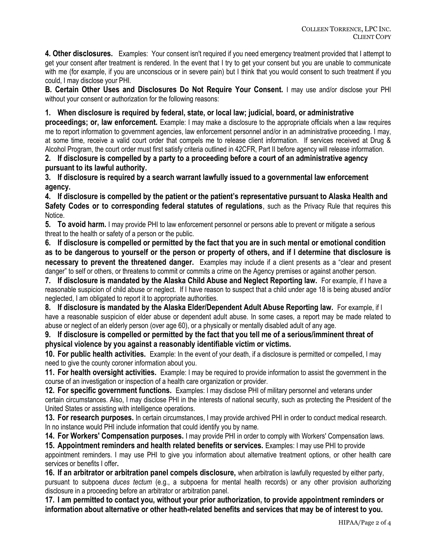**4. Other disclosures.** Examples:Your consent isn't required if you need emergency treatment provided that I attempt to get your consent after treatment is rendered. In the event that I try to get your consent but you are unable to communicate with me (for example, if you are unconscious or in severe pain) but I think that you would consent to such treatment if you could, I may disclose your PHI.

**B. Certain Other Uses and Disclosures Do Not Require Your Consent.** I may use and/or disclose your PHI without your consent or authorization for the following reasons:

#### **1. When disclosure is required by federal, state, or local law; judicial, board, or administrative**

**proceedings; or, law enforcement.** Example: I may make a disclosure to the appropriate officials when a law requires me to report information to government agencies, law enforcement personnel and/or in an administrative proceeding. I may, at some time, receive a valid court order that compels me to release client information. If services received at Drug & Alcohol Program, the court order must first satisfy criteria outlined in 42CFR, Part II before agency will release information.

**2. If disclosure is compelled by a party to a proceeding before a court of an administrative agency pursuant to its lawful authority.**

**3. If disclosure is required by a search warrant lawfully issued to a governmental law enforcement agency.**

**4. If disclosure is compelled by the patient or the patient's representative pursuant to Alaska Health and Safety Codes or to corresponding federal statutes of regulations**, such as the Privacy Rule that requires this Notice.

**5. To avoid harm.** I may provide PHI to law enforcement personnel or persons able to prevent or mitigate a serious threat to the health or safety of a person or the public.

**6. If disclosure is compelled or permitted by the fact that you are in such mental or emotional condition as to be dangerous to yourself or the person or property of others, and if I determine that disclosure is necessary to prevent the threatened danger.** Examples may include if a client presents as a "clear and present danger" to self or others, or threatens to commit or commits a crime on the Agency premises or against another person.

**7. If disclosure is mandated by the Alaska Child Abuse and Neglect Reporting law.** For example, if I have a reasonable suspicion of child abuse or neglect. If I have reason to suspect that a child under age 18 is being abused and/or neglected, I am obligated to report it to appropriate authorities.

**8. If disclosure is mandated by the Alaska Elder/Dependent Adult Abuse Reporting law.** For example, if I have a reasonable suspicion of elder abuse or dependent adult abuse. In some cases, a report may be made related to abuse or neglect of an elderly person (over age 60), or a physically or mentally disabled adult of any age.

**9. If disclosure is compelled or permitted by the fact that you tell me of a serious/imminent threat of physical violence by you against a reasonably identifiable victim or victims.**

**10. For public health activities.** Example: In the event of your death, if a disclosure is permitted or compelled, I may need to give the county coroner information about you.

**11. For health oversight activities.** Example: I may be required to provide information to assist the government in the course of an investigation or inspection of a health care organization or provider.

**12. For specific government functions.** Examples: I may disclose PHI of military personnel and veterans under certain circumstances. Also, I may disclose PHI in the interests of national security, such as protecting the President of the United States or assisting with intelligence operations.

**13. For research purposes.** In certain circumstances, I may provide archived PHI in order to conduct medical research. In no instance would PHI include information that could identify you by name.

**14. For Workers' Compensation purposes.** I may provide PHI in order to comply with Workers' Compensation laws.

**15. Appointment reminders and health related benefits or services.** Examples: I may use PHI to provide appointment reminders. I may use PHI to give you information about alternative treatment options, or other health care services or benefits I offer**.**

**16. If an arbitrator or arbitration panel compels disclosure,** when arbitration is lawfully requested by either party, pursuant to subpoena *duces tectum* (e.g., a subpoena for mental health records) or any other provision authorizing disclosure in a proceeding before an arbitrator or arbitration panel.

**17. I am permitted to contact you, without your prior authorization, to provide appointment reminders or information about alternative or other heath-related benefits and services that may be of interest to you.**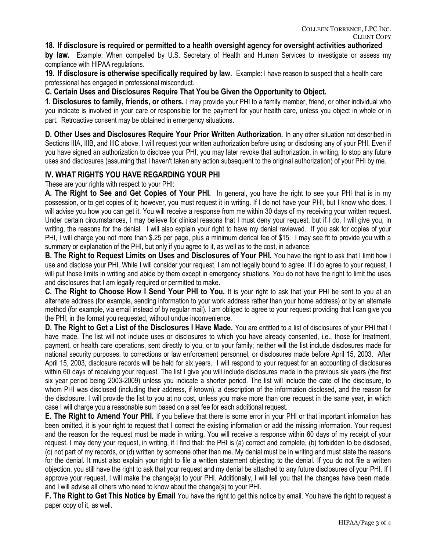#### **18. If disclosure is required or permitted to a health oversight agency for oversight activities authorized**

**by law.** Example: When compelled by U.S. Secretary of Health and Human Services to investigate or assess my compliance with HIPAA regulations.

**19. If disclosure is otherwise specifically required by law.** Example: I have reason to suspect that a health care professional has engaged in professional misconduct.

**C. Certain Uses and Disclosures Require That You be Given the Opportunity to Object.**

**1. Disclosures to family, friends, or others.** I may provide your PHI to a family member, friend, or other individual who you indicate is involved in your care or responsible for the payment for your health care, unless you object in whole or in part. Retroactive consent may be obtained in emergency situations.

**D. Other Uses and Disclosures Require Your Prior Written Authorization.** In any other situation not described in Sections IIIA, IIIB, and IIIC above, I will request your written authorization before using or disclosing any of your PHI. Even if you have signed an authorization to disclose your PHI, you may later revoke that authorization, in writing, to stop any future uses and disclosures (assuming that I haven't taken any action subsequent to the original authorization) of your PHI by me.

#### **IV. WHAT RIGHTS YOU HAVE REGARDING YOUR PHI**

These are your rights with respect to your PHI:

**A. The Right to See and Get Copies of Your PHI.** In general, you have the right to see your PHI that is in my possession, or to get copies of it; however, you must request it in writing. If I do not have your PHI, but I know who does, I will advise you how you can get it. You will receive a response from me within 30 days of my receiving your written request. Under certain circumstances, I may believe for clinical reasons that I must deny your request, but if I do, I will give you, in writing, the reasons for the denial. I will also explain your right to have my denial reviewed. If you ask for copies of your PHI, I will charge you not more than \$.25 per page, plus a minimum clerical fee of \$15. I may see fit to provide you with a summary or explanation of the PHI, but only if you agree to it, as well as to the cost, in advance.

**B. The Right to Request Limits on Uses and Disclosures of Your PHI.** You have the right to ask that I limit how I use and disclose your PHI. While I will consider your request, I am not legally bound to agree. If I do agree to your request, I will put those limits in writing and abide by them except in emergency situations. You do not have the right to limit the uses and disclosures that I am legally required or permitted to make.

**C. The Right to Choose How I Send Your PHI to You.** It is your right to ask that your PHI be sent to you at an alternate address (for example, sending information to your work address rather than your home address) or by an alternate method (for example, via email instead of by regular mail). I am obliged to agree to your request providing that I can give you the PHI, in the format you requested, without undue inconvenience.

**D. The Right to Get a List of the Disclosures I Have Made.** You are entitled to a list of disclosures of your PHI that I have made. The list will not include uses or disclosures to which you have already consented, i.e., those for treatment, payment, or health care operations, sent directly to you, or to your family; neither will the list include disclosures made for national security purposes, to corrections or law enforcement personnel, or disclosures made before April 15, 2003. After April 15, 2003, disclosure records will be held for six years. I will respond to your request for an accounting of disclosures within 60 days of receiving your request. The list I give you will include disclosures made in the previous six years (the first six year period being 2003-2009) unless you indicate a shorter period. The list will include the date of the disclosure, to whom PHI was disclosed (including their address, if known), a description of the information disclosed, and the reason for the disclosure. I will provide the list to you at no cost, unless you make more than one request in the same year, in which case I will charge you a reasonable sum based on a set fee for each additional request.

**E. The Right to Amend Your PHI.** If you believe that there is some error in your PHI or that important information has been omitted, it is your right to request that I correct the existing information or add the missing information. Your request and the reason for the request must be made in writing. You will receive a response within 60 days of my receipt of your request. I may deny your request, in writing, if I find that: the PHI is (a) correct and complete, (b) forbidden to be disclosed, (c) not part of my records, or (d) written by someone other than me. My denial must be in writing and must state the reasons for the denial. It must also explain your right to file a written statement objecting to the denial. If you do not file a written objection, you still have the right to ask that your request and my denial be attached to any future disclosures of your PHI. If I approve your request, I will make the change(s) to your PHI. Additionally, I will tell you that the changes have been made, and I will advise all others who need to know about the change(s) to your PHI.

**F. The Right to Get This Notice by Email** You have the right to get this notice by email. You have the right to request a paper copy of it, as well.